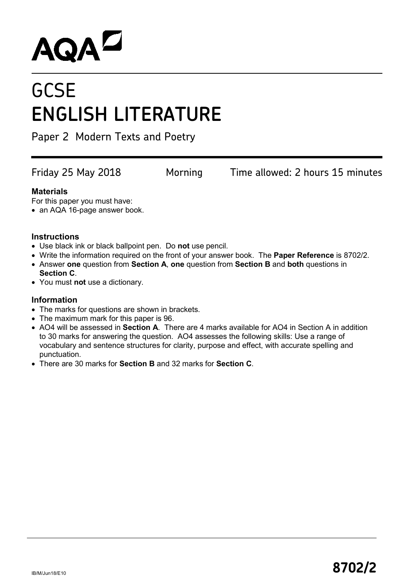# **AQAL**

# **GCSE ENGLISH LITERATURE**

Paper 2 Modern Texts and Poetry

Friday 25 May 2018 Morning Time allowed: 2 hours 15 minutes

#### **Materials**

For this paper you must have:

• an AQA 16-page answer book.

#### **Instructions**

- Use black ink or black ballpoint pen. Do **not** use pencil.
- Write the information required on the front of your answer book. The **Paper Reference** is 8702/2.
- Answer **one** question from **Section A**, **one** question from **Section B** and **both** questions in **Section C**.
- You must **not** use a dictionary.

#### **Information**

- The marks for questions are shown in brackets.
- The maximum mark for this paper is 96.
- AO4 will be assessed in **Section A**. There are 4 marks available for AO4 in Section A in addition to 30 marks for answering the question. AO4 assesses the following skills: Use a range of vocabulary and sentence structures for clarity, purpose and effect, with accurate spelling and punctuation.
- There are 30 marks for **Section B** and 32 marks for **Section C**.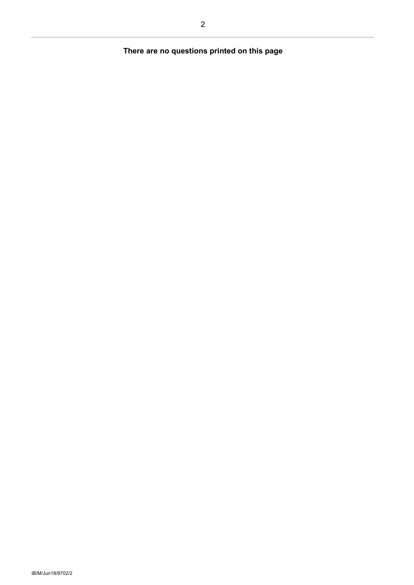## **There are no questions printed on this page**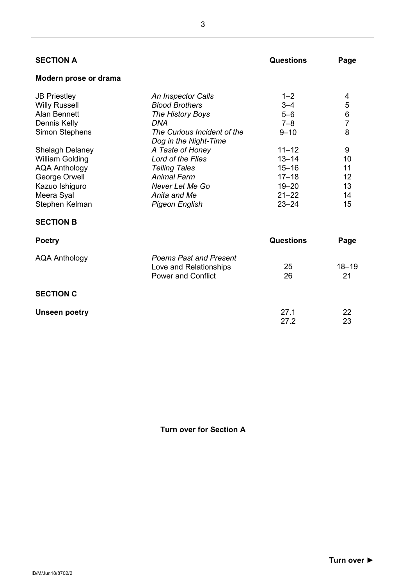| <b>SECTION A</b>       |                                                      | <b>Questions</b> | Page           |
|------------------------|------------------------------------------------------|------------------|----------------|
| Modern prose or drama  |                                                      |                  |                |
| <b>JB Priestley</b>    | An Inspector Calls                                   | $1 - 2$          | 4              |
| <b>Willy Russell</b>   | <b>Blood Brothers</b>                                | $3 - 4$          | 5              |
| <b>Alan Bennett</b>    | The History Boys                                     | $5 - 6$          | $\,6$          |
| Dennis Kelly           | DNA                                                  | $7 - 8$          | $\overline{7}$ |
| <b>Simon Stephens</b>  | The Curious Incident of the<br>Dog in the Night-Time | $9 - 10$         | 8              |
| <b>Shelagh Delaney</b> | A Taste of Honey                                     | $11 - 12$        | 9              |
| <b>William Golding</b> | Lord of the Flies                                    | $13 - 14$        | 10             |
| <b>AQA Anthology</b>   | <b>Telling Tales</b>                                 | $15 - 16$        | 11             |
| George Orwell          | <b>Animal Farm</b>                                   | $17 - 18$        | 12             |
| Kazuo Ishiguro         | Never Let Me Go                                      | $19 - 20$        | 13             |
| Meera Syal             | Anita and Me                                         | $21 - 22$        | 14             |
| Stephen Kelman         | <b>Pigeon English</b>                                | $23 - 24$        | 15             |
| <b>SECTION B</b>       |                                                      |                  |                |
| <b>Poetry</b>          |                                                      | <b>Questions</b> | Page           |
| <b>AQA Anthology</b>   | <b>Poems Past and Present</b>                        |                  |                |
|                        | Love and Relationships                               | 25               | $18 - 19$      |
|                        | <b>Power and Conflict</b>                            | 26               | 21             |
| <b>SECTION C</b>       |                                                      |                  |                |
| <b>Unseen poetry</b>   |                                                      | 27.1             | 22             |
|                        |                                                      | 27.2             | 23             |

**Turn over for Section A**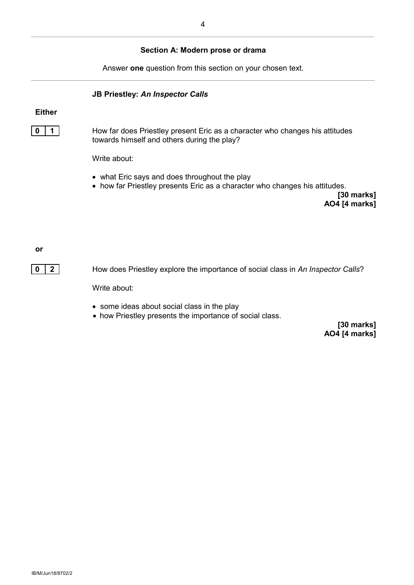#### **Section A: Modern prose or drama**

Answer **one** question from this section on your chosen text.

**JB Priestley:** *An Inspector Calls*

#### **Either**



**0 1 1** How far does Priestley present Eric as a character who changes his attitudes towards himself and others during the play?

Write about:

- what Eric says and does throughout the play
- how far Priestley presents Eric as a character who changes his attitudes.

**[30 marks] AO4 [4 marks]**

**or**

**0 2** How does Priestley explore the importance of social class in An Inspector Calls?

Write about:

- some ideas about social class in the play
- how Priestley presents the importance of social class.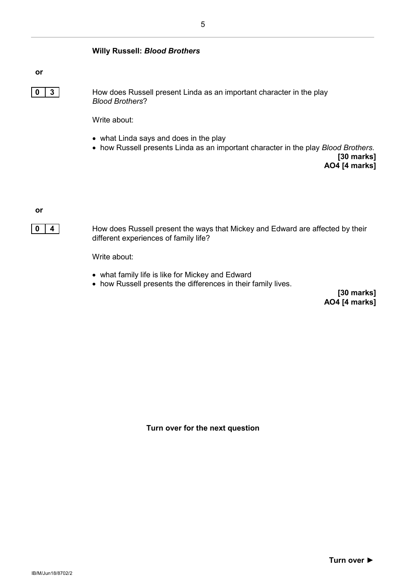#### **Willy Russell:** *Blood Brothers*

**or**

**0** | **3** | How does Russell present Linda as an important character in the play *Blood Brothers*?

Write about:

- what Linda says and does in the play
- how Russell presents Linda as an important character in the play *Blood Brothers*.

**[30 marks] AO4 [4 marks]**

**or**



**0 4** How does Russell present the ways that Mickey and Edward are affected by their different experiences of family life?

Write about:

- what family life is like for Mickey and Edward
- how Russell presents the differences in their family lives.

**[30 marks] AO4 [4 marks]**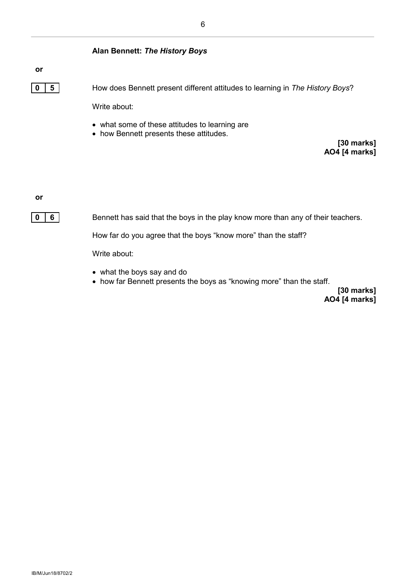#### **Alan Bennett:** *The History Boys*

#### **or**

**0 5** How does Bennett present different attitudes to learning in *The History Boys*? Write about:

- what some of these attitudes to learning are
- how Bennett presents these attitudes.

**[30 marks] AO4 [4 marks]**

**or**



**0 6 6** Bennett has said that the boys in the play know more than any of their teachers.

How far do you agree that the boys "know more" than the staff?

Write about:

- what the boys say and do
- how far Bennett presents the boys as "knowing more" than the staff.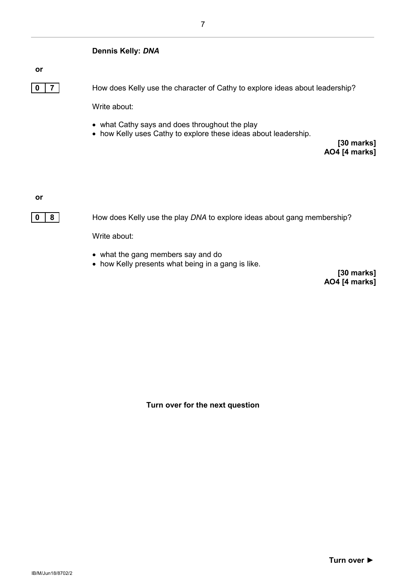

Write about:

- what the gang members say and do
- how Kelly presents what being in a gang is like.

**[30 marks] AO4 [4 marks]**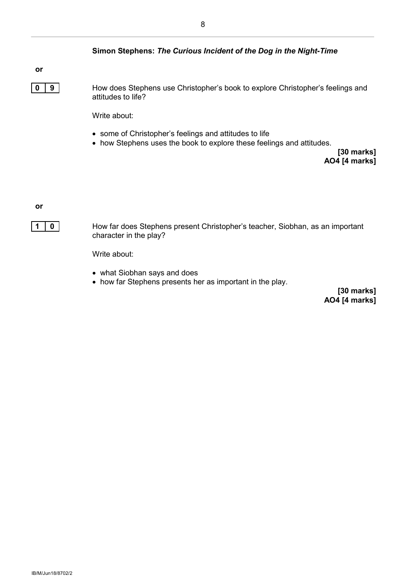#### **Simon Stephens:** *The Curious Incident of the Dog in the Night-Time*

#### **or**

**0 9** How does Stephens use Christopher's book to explore Christopher's feelings and attitudes to life?

Write about:

- some of Christopher's feelings and attitudes to life
- how Stephens uses the book to explore these feelings and attitudes.

**[30 marks] AO4 [4 marks]**

**or**



**1** | **0** | How far does Stephens present Christopher's teacher, Siobhan, as an important character in the play?

Write about:

- what Siobhan says and does
- how far Stephens presents her as important in the play.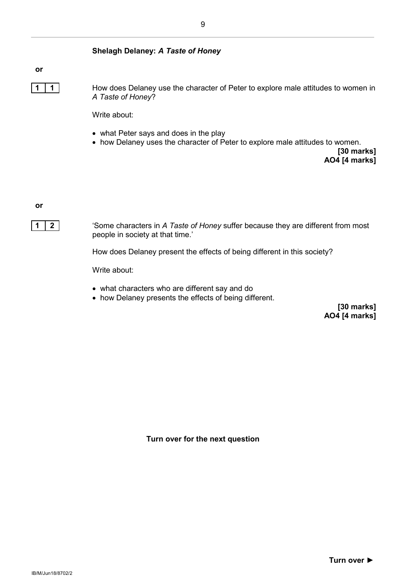#### **Shelagh Delaney:** *A Taste of Honey*

#### **or**

**1 1** How does Delaney use the character of Peter to explore male attitudes to women in *A Taste of Honey*?

Write about:

- what Peter says and does in the play
- how Delaney uses the character of Peter to explore male attitudes to women.

**[30 marks] AO4 [4 marks]**

**or**



**1 2** 'Some characters in *A Taste of Honey* suffer because they are different from most people in society at that time.'

How does Delaney present the effects of being different in this society?

Write about:

- what characters who are different say and do
- how Delaney presents the effects of being different.

**[30 marks] AO4 [4 marks]**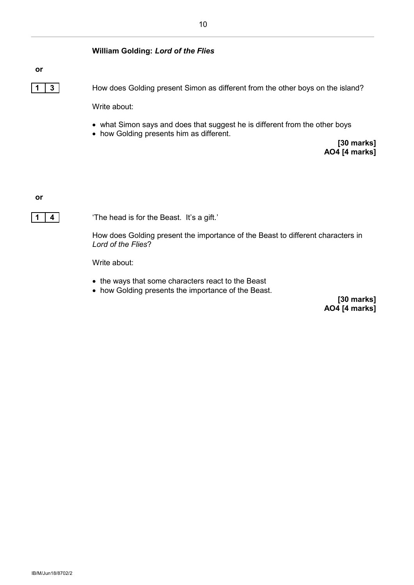#### **William Golding:** *Lord of the Flies*

#### **or**

**1 3** How does Golding present Simon as different from the other boys on the island?

Write about:

- what Simon says and does that suggest he is different from the other boys
- how Golding presents him as different.

**[30 marks] AO4 [4 marks]**

**or**

**1 4** 'The head is for the Beast. It's a gift.'

How does Golding present the importance of the Beast to different characters in *Lord of the Flies*?

Write about:

- the ways that some characters react to the Beast
- how Golding presents the importance of the Beast.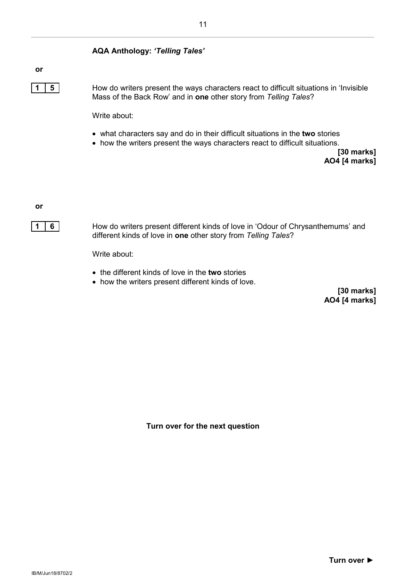#### **AQA Anthology:** *'Telling Tales'*

#### **or**

**1 5** How do writers present the ways characters react to difficult situations in 'Invisible Mass of the Back Row' and in **one** other story from *Telling Tales*?

Write about:

- what characters say and do in their difficult situations in the **two** stories
- how the writers present the ways characters react to difficult situations.

**[30 marks] AO4 [4 marks]**

**or**



**1 6** How do writers present different kinds of love in 'Odour of Chrysanthemums' and different kinds of love in **one** other story from *Telling Tales*?

Write about:

- the different kinds of love in the **two** stories
- how the writers present different kinds of love.

**[30 marks] AO4 [4 marks]**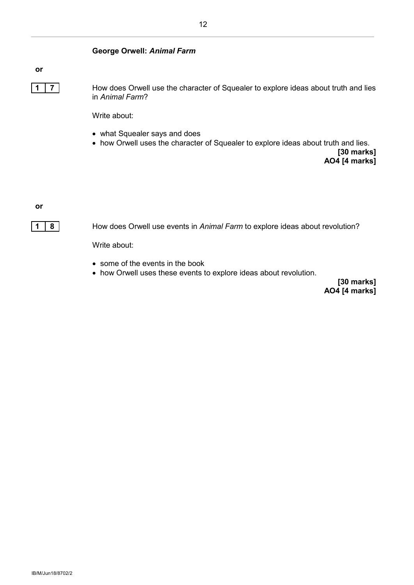#### **George Orwell:** *Animal Farm*

#### **or**

**1 7** How does Orwell use the character of Squealer to explore ideas about truth and lies in *Animal Farm*?

Write about:

- what Squealer says and does
- how Orwell uses the character of Squealer to explore ideas about truth and lies.

**[30 marks] AO4 [4 marks]**

**or**



**1 8** How does Orwell use events in *Animal Farm* to explore ideas about revolution?

Write about:

- some of the events in the book
- how Orwell uses these events to explore ideas about revolution.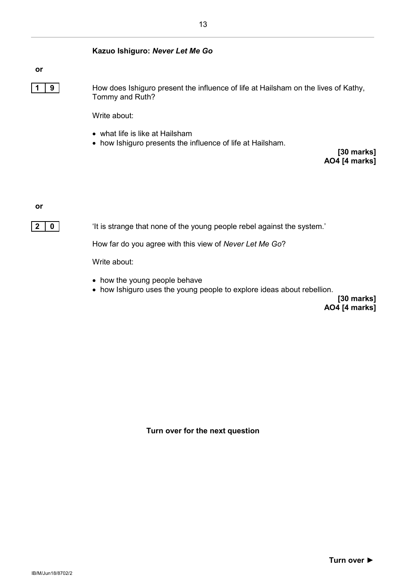#### **Kazuo Ishiguro:** *Never Let Me Go*

**or**

**1 9** How does Ishiguro present the influence of life at Hailsham on the lives of Kathy, Tommy and Ruth?

Write about:

- what life is like at Hailsham
- how Ishiguro presents the influence of life at Hailsham.

**[30 marks] AO4 [4 marks]**

**or**

**2 0 i** 'It is strange that none of the young people rebel against the system.'

How far do you agree with this view of *Never Let Me Go*?

Write about:

- how the young people behave
- how Ishiguro uses the young people to explore ideas about rebellion.

**[30 marks] AO4 [4 marks]**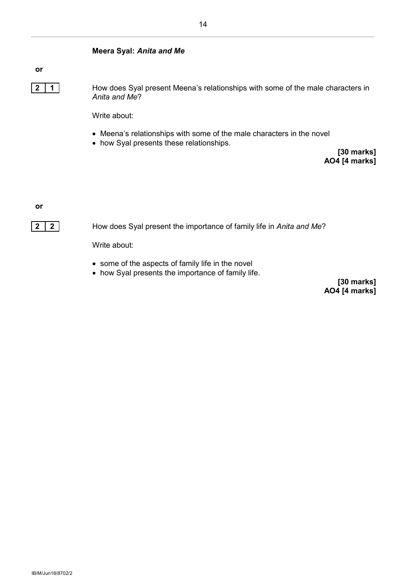#### **Meera Syal:** *Anita and Me*

#### **or**

**2 1** How does Syal present Meena's relationships with some of the male characters in *Anita and Me*?

Write about:

- Meena's relationships with some of the male characters in the novel
- how Syal presents these relationships.

**[30 marks] AO4 [4 marks]**

**or**



**2 2** How does Syal present the importance of family life in *Anita and Me*?

Write about:

- some of the aspects of family life in the novel
- how Syal presents the importance of family life.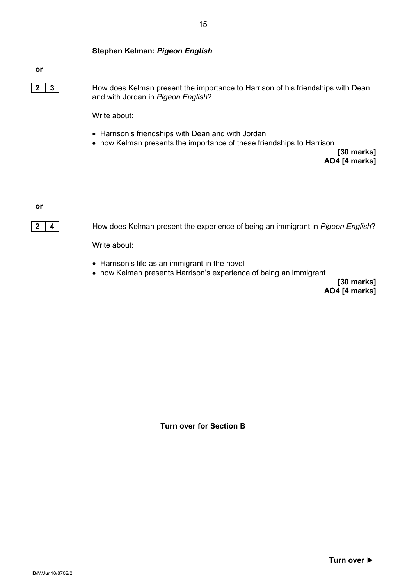#### **Stephen Kelman:** *Pigeon English*

#### **or**

**2 3** How does Kelman present the importance to Harrison of his friendships with Dean and with Jordan in *Pigeon English*?

Write about:

- Harrison's friendships with Dean and with Jordan
- how Kelman presents the importance of these friendships to Harrison.

**[30 marks] AO4 [4 marks]**

**or**



**2 4** How does Kelman present the experience of being an immigrant in *Pigeon English*?

Write about:

- Harrison's life as an immigrant in the novel
- how Kelman presents Harrison's experience of being an immigrant.

**[30 marks] AO4 [4 marks]**

**Turn over for Section B**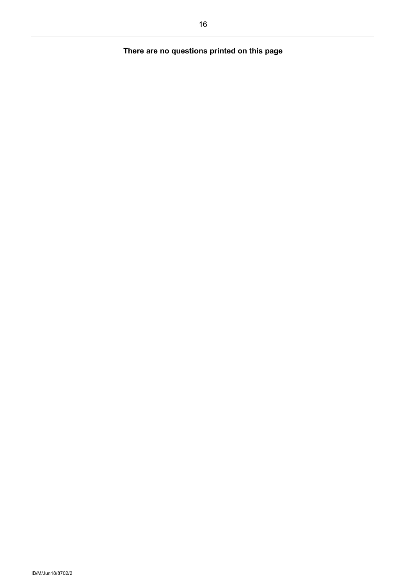## **There are no questions printed on this page**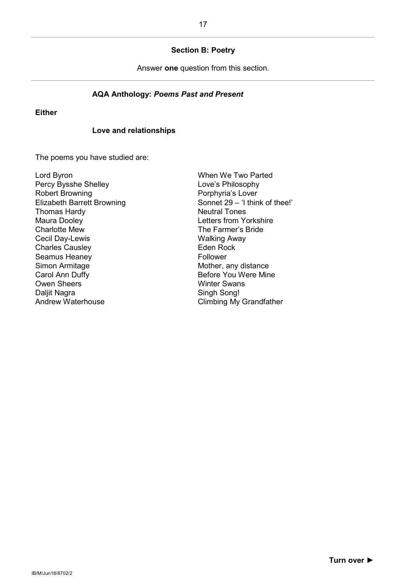#### **Section B: Poetry**

Answer **one** question from this section.

#### **AQA Anthology:** *Poems Past and Present*

#### **Either**

#### **Love and relationships**

The poems you have studied are:

Lord Byron Percy Bysshe Shelley Robert Browning Elizabeth Barrett Browning Thomas Hardy Maura Dooley Charlotte Mew Cecil Day-Lewis Charles Causley Seamus Heaney Simon Armitage Carol Ann Duffy Owen Sheers Daljit Nagra Andrew Waterhouse

When We Two Parted Love's Philosophy Porphyria's Lover Sonnet 29 – 'I think of thee!' Neutral Tones Letters from Yorkshire The Farmer's Bride Walking Away Eden Rock Follower Mother, any distance Before You Were Mine Winter Swans Singh Song! Climbing My Grandfather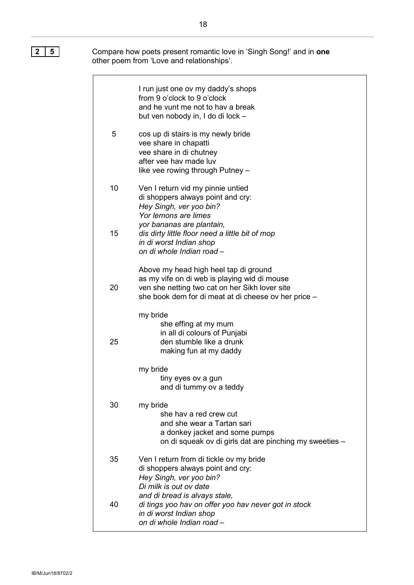**2 5** Compare how poets present romantic love in 'Singh Song!' and in **one** other poem from 'Love and relationships'.

|    | I run just one ov my daddy's shops<br>from 9 o'clock to 9 o'clock<br>and he vunt me not to hav a break<br>but ven nobody in, I do di lock -                                                     |
|----|-------------------------------------------------------------------------------------------------------------------------------------------------------------------------------------------------|
| 5  | cos up di stairs is my newly bride<br>vee share in chapatti<br>vee share in di chutney<br>after yee hay made luy<br>like vee rowing through Putney -                                            |
| 10 | Ven I return vid my pinnie untied<br>di shoppers always point and cry:<br>Hey Singh, ver yoo bin?<br>Yor lemons are limes                                                                       |
| 15 | yor bananas are plantain,<br>dis dirty little floor need a little bit of mop<br>in di worst Indian shop<br>on di whole Indian road -                                                            |
| 20 | Above my head high heel tap di ground<br>as my vife on di web is playing wid di mouse<br>ven she netting two cat on her Sikh lover site<br>she book dem for di meat at di cheese ov her price - |
| 25 | my bride<br>she effing at my mum<br>in all di colours of Punjabi<br>den stumble like a drunk<br>making fun at my daddy                                                                          |
|    | my bride<br>tiny eyes ov a gun<br>and di tummy ov a teddy                                                                                                                                       |
| 30 | my bride<br>she hav a red crew cut<br>and she wear a Tartan sari<br>a donkey jacket and some pumps<br>on di squeak ov di girls dat are pinching my sweeties -                                   |
| 35 | Ven I return from di tickle ov my bride<br>di shoppers always point and cry:<br>Hey Singh, ver yoo bin?<br>Di milk is out ov date                                                               |
| 40 | and di bread is alvays stale,<br>di tings yoo hav on offer yoo hav never got in stock<br>in di worst Indian shop<br>on di whole Indian road-                                                    |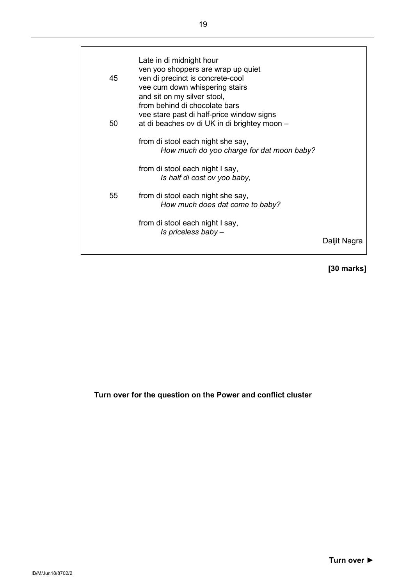|    | Late in di midnight hour<br>ven yoo shoppers are wrap up quiet                                    |              |
|----|---------------------------------------------------------------------------------------------------|--------------|
| 45 | ven di precinct is concrete-cool<br>vee cum down whispering stairs<br>and sit on my silver stool, |              |
|    | from behind di chocolate bars                                                                     |              |
| 50 | vee stare past di half-price window signs<br>at di beaches ov di UK in di brightey moon -         |              |
|    | from di stool each night she say,<br>How much do yoo charge for dat moon baby?                    |              |
|    | from di stool each night I say,<br>Is half di cost ov yoo baby,                                   |              |
| 55 | from di stool each night she say,<br>How much does dat come to baby?                              |              |
|    | from di stool each night I say,<br>Is priceless baby -                                            |              |
|    |                                                                                                   | Daljit Nagra |
|    |                                                                                                   |              |

## **[30 marks]**

**Turn over for the question on the Power and conflict cluster**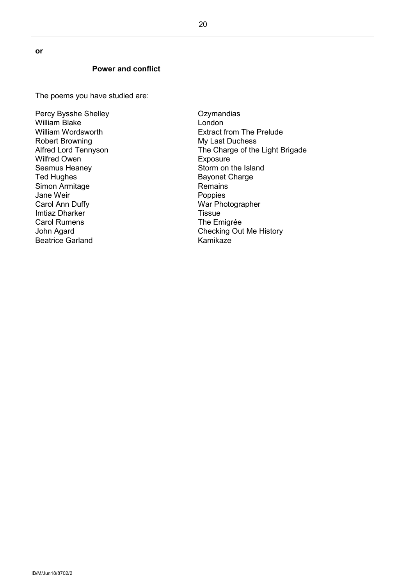**or**

#### **Power and conflict**

The poems you have studied are:

Percy Bysshe Shelley William Blake William Wordsworth Robert Browning Alfred Lord Tennyson Wilfred Owen Seamus Heaney Ted Hughes Simon Armitage Jane Weir Carol Ann Duffy Imtiaz Dharker Carol Rumens John Agard Beatrice Garland

**Ozymandias** London Extract from The Prelude My Last Duchess The Charge of the Light Brigade **Exposure** Storm on the Island Bayonet Charge Remains Poppies War Photographer **Tissue** The Emigrée Checking Out Me History Kamikaze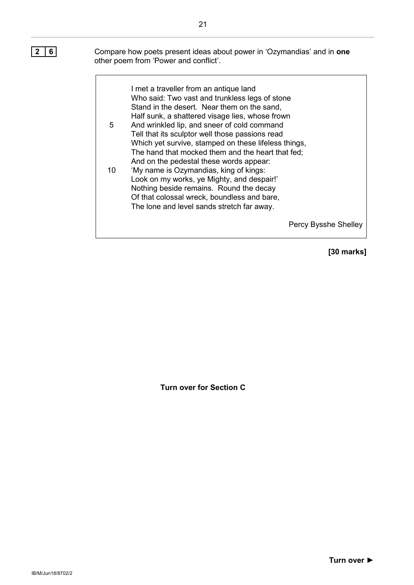**2 6** Compare how poets present ideas about power in 'Ozymandias' and in **one** other poem from 'Power and conflict'.

> I met a traveller from an antique land Who said: Two vast and trunkless legs of stone Stand in the desert. Near them on the sand, Half sunk, a shattered visage lies, whose frown

- 5 And wrinkled lip, and sneer of cold command Tell that its sculptor well those passions read Which yet survive, stamped on these lifeless things, The hand that mocked them and the heart that fed; And on the pedestal these words appear:
- 10 'My name is Ozymandias, king of kings: Look on my works, ye Mighty, and despair!' Nothing beside remains. Round the decay Of that colossal wreck, boundless and bare, The lone and level sands stretch far away.

Percy Bysshe Shelley

**[30 marks]**

**Turn over for Section C**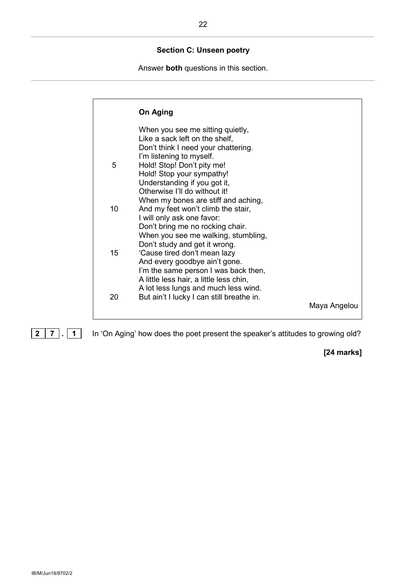#### **Section C: Unseen poetry**

Answer **both** questions in this section.

|    | On Aging                                                             |              |
|----|----------------------------------------------------------------------|--------------|
|    | When you see me sitting quietly,<br>Like a sack left on the shelf,   |              |
|    | Don't think I need your chattering.                                  |              |
|    | I'm listening to myself.                                             |              |
| 5  | Hold! Stop! Don't pity me!                                           |              |
|    | Hold! Stop your sympathy!                                            |              |
|    | Understanding if you got it,                                         |              |
|    | Otherwise I'll do without it!                                        |              |
|    | When my bones are stiff and aching,                                  |              |
| 10 | And my feet won't climb the stair,                                   |              |
|    | I will only ask one favor:                                           |              |
|    | Don't bring me no rocking chair.                                     |              |
|    | When you see me walking, stumbling,<br>Don't study and get it wrong. |              |
| 15 | 'Cause tired don't mean lazy                                         |              |
|    | And every goodbye ain't gone.                                        |              |
|    | I'm the same person I was back then,                                 |              |
|    | A little less hair, a little less chin,                              |              |
|    | A lot less lungs and much less wind.                                 |              |
| 20 | But ain't I lucky I can still breathe in.                            |              |
|    |                                                                      | Maya Angelou |
|    |                                                                      |              |

**2 7 . 1** In 'On Aging' how does the poet present the speaker's attitudes to growing old?

**[24 marks]**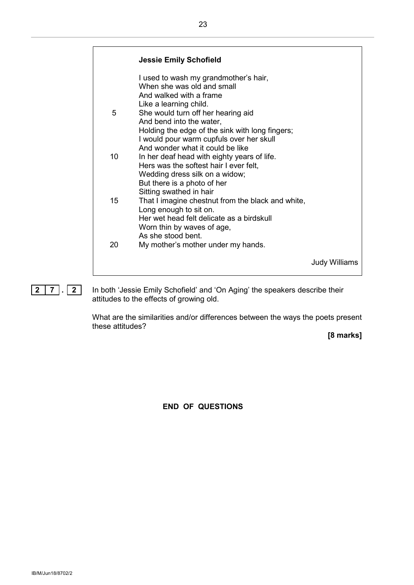|    | <b>Jessie Emily Schofield</b>                                               |               |
|----|-----------------------------------------------------------------------------|---------------|
|    | I used to wash my grandmother's hair,<br>When she was old and small         |               |
|    | And walked with a frame                                                     |               |
|    | Like a learning child.                                                      |               |
| 5  | She would turn off her hearing aid                                          |               |
|    | And bend into the water,<br>Holding the edge of the sink with long fingers; |               |
|    | I would pour warm cupfuls over her skull                                    |               |
|    | And wonder what it could be like                                            |               |
| 10 | In her deaf head with eighty years of life.                                 |               |
|    | Hers was the softest hair I ever felt,                                      |               |
|    | Wedding dress silk on a widow;<br>But there is a photo of her               |               |
|    | Sitting swathed in hair                                                     |               |
| 15 | That I imagine chestnut from the black and white,                           |               |
|    | Long enough to sit on.                                                      |               |
|    | Her wet head felt delicate as a birdskull<br>Worn thin by waves of age,     |               |
|    | As she stood bent.                                                          |               |
| 20 | My mother's mother under my hands.                                          |               |
|    |                                                                             |               |
|    |                                                                             | Judy Williams |
|    |                                                                             |               |

**2 7 . 2** In both 'Jessie Emily Schofield' and 'On Aging' the speakers describe their attitudes to the effects of growing old.

> What are the similarities and/or differences between the ways the poets present these attitudes?

**[8 marks]**

**END OF QUESTIONS**